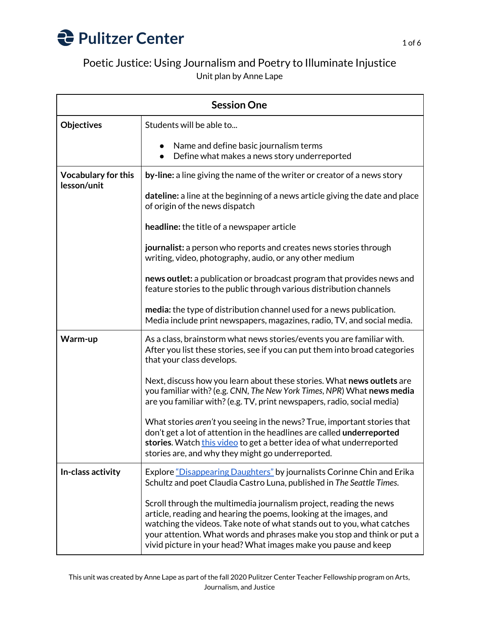

## Poetic Justice: Using Journalism and Poetry to Illuminate Injustice Unit plan by Anne Lape

| <b>Session One</b>                        |                                                                                                                                                                                                                                                                                                                                                                  |  |
|-------------------------------------------|------------------------------------------------------------------------------------------------------------------------------------------------------------------------------------------------------------------------------------------------------------------------------------------------------------------------------------------------------------------|--|
| <b>Objectives</b>                         | Students will be able to                                                                                                                                                                                                                                                                                                                                         |  |
|                                           | Name and define basic journalism terms<br>Define what makes a news story underreported                                                                                                                                                                                                                                                                           |  |
| <b>Vocabulary for this</b><br>lesson/unit | by-line: a line giving the name of the writer or creator of a news story                                                                                                                                                                                                                                                                                         |  |
|                                           | dateline: a line at the beginning of a news article giving the date and place<br>of origin of the news dispatch                                                                                                                                                                                                                                                  |  |
|                                           | headline: the title of a newspaper article                                                                                                                                                                                                                                                                                                                       |  |
|                                           | journalist: a person who reports and creates news stories through<br>writing, video, photography, audio, or any other medium                                                                                                                                                                                                                                     |  |
|                                           | news outlet: a publication or broadcast program that provides news and<br>feature stories to the public through various distribution channels                                                                                                                                                                                                                    |  |
|                                           | media: the type of distribution channel used for a news publication.<br>Media include print newspapers, magazines, radio, TV, and social media.                                                                                                                                                                                                                  |  |
| Warm-up                                   | As a class, brainstorm what news stories/events you are familiar with.<br>After you list these stories, see if you can put them into broad categories<br>that your class develops.                                                                                                                                                                               |  |
|                                           | Next, discuss how you learn about these stories. What news outlets are<br>you familiar with? (e.g. CNN, The New York Times, NPR) What news media<br>are you familiar with? (e.g. TV, print newspapers, radio, social media)                                                                                                                                      |  |
|                                           | What stories aren't you seeing in the news? True, important stories that<br>don't get a lot of attention in the headlines are called underreported<br>stories. Watch this video to get a better idea of what underreported<br>stories are, and why they might go underreported.                                                                                  |  |
| In-class activity                         | Explore "Disappearing Daughters" by journalists Corinne Chin and Erika<br>Schultz and poet Claudia Castro Luna, published in The Seattle Times.                                                                                                                                                                                                                  |  |
|                                           | Scroll through the multimedia journalism project, reading the news<br>article, reading and hearing the poems, looking at the images, and<br>watching the videos. Take note of what stands out to you, what catches<br>your attention. What words and phrases make you stop and think or put a<br>vivid picture in your head? What images make you pause and keep |  |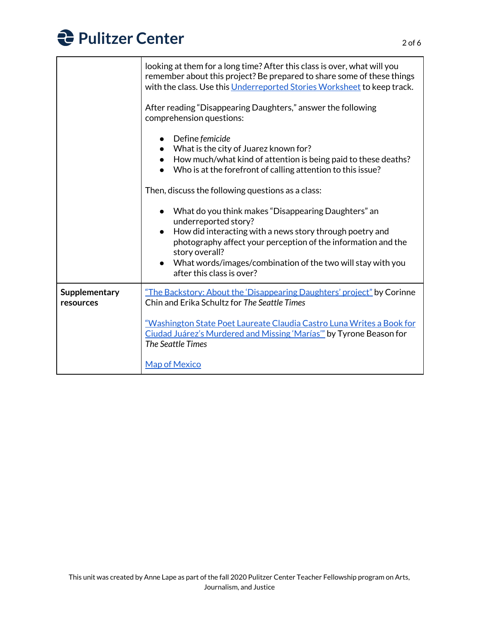

| looking at them for a long time? After this class is over, what will you<br>remember about this project? Be prepared to share some of these things<br>with the class. Use this Underreported Stories Worksheet to keep track.                                                                                            |
|--------------------------------------------------------------------------------------------------------------------------------------------------------------------------------------------------------------------------------------------------------------------------------------------------------------------------|
| After reading "Disappearing Daughters," answer the following<br>comprehension questions:                                                                                                                                                                                                                                 |
| Define femicide<br>• What is the city of Juarez known for?<br>How much/what kind of attention is being paid to these deaths?<br>$\bullet$<br>Who is at the forefront of calling attention to this issue?                                                                                                                 |
| Then, discuss the following questions as a class:                                                                                                                                                                                                                                                                        |
| What do you think makes "Disappearing Daughters" an<br>underreported story?<br>How did interacting with a news story through poetry and<br>photography affect your perception of the information and the<br>story overall?<br>• What words/images/combination of the two will stay with you<br>after this class is over? |
| "The Backstory: About the 'Disappearing Daughters' project" by Corinne<br>Chin and Erika Schultz for The Seattle Times                                                                                                                                                                                                   |
| "Washington State Poet Laureate Claudia Castro Luna Writes a Book for<br>Ciudad Juárez's Murdered and Missing 'Marías'" by Tyrone Beason for<br><b>The Seattle Times</b><br><b>Map of Mexico</b>                                                                                                                         |
|                                                                                                                                                                                                                                                                                                                          |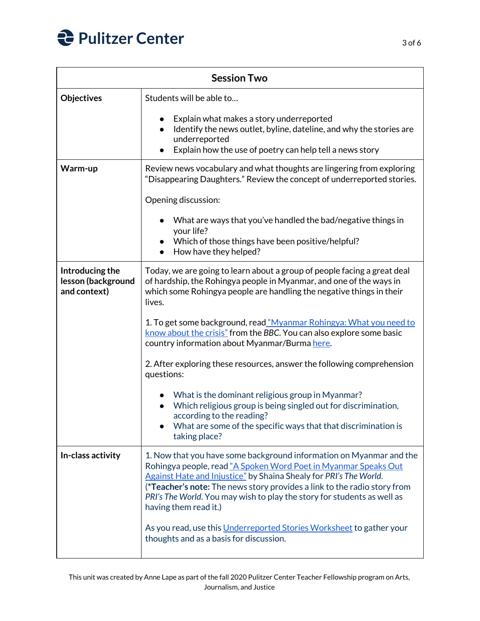

| <b>Session Two</b>                                    |                                                                                                                                                                                                                                                                                                                                                                                             |  |
|-------------------------------------------------------|---------------------------------------------------------------------------------------------------------------------------------------------------------------------------------------------------------------------------------------------------------------------------------------------------------------------------------------------------------------------------------------------|--|
| Objectives                                            | Students will be able to                                                                                                                                                                                                                                                                                                                                                                    |  |
|                                                       | Explain what makes a story underreported<br>Identify the news outlet, byline, dateline, and why the stories are<br>underreported<br>Explain how the use of poetry can help tell a news story                                                                                                                                                                                                |  |
| Warm-up                                               | Review news vocabulary and what thoughts are lingering from exploring<br>"Disappearing Daughters." Review the concept of underreported stories.                                                                                                                                                                                                                                             |  |
|                                                       | Opening discussion:                                                                                                                                                                                                                                                                                                                                                                         |  |
|                                                       | What are ways that you've handled the bad/negative things in<br>your life?                                                                                                                                                                                                                                                                                                                  |  |
|                                                       | Which of those things have been positive/helpful?<br>$\bullet$<br>How have they helped?                                                                                                                                                                                                                                                                                                     |  |
| Introducing the<br>lesson (background<br>and context) | Today, we are going to learn about a group of people facing a great deal<br>of hardship, the Rohingya people in Myanmar, and one of the ways in<br>which some Rohingya people are handling the negative things in their<br>lives.                                                                                                                                                           |  |
|                                                       | 1. To get some background, read "Myanmar Rohingya: What you need to<br>know about the crisis" from the BBC. You can also explore some basic<br>country information about Myanmar/Burma here.                                                                                                                                                                                                |  |
|                                                       | 2. After exploring these resources, answer the following comprehension<br>questions:                                                                                                                                                                                                                                                                                                        |  |
|                                                       | What is the dominant religious group in Myanmar?<br>Which religious group is being singled out for discrimination,<br>according to the reading?<br>What are some of the specific ways that that discrimination is<br>taking place?                                                                                                                                                          |  |
| In-class activity                                     | 1. Now that you have some background information on Myanmar and the<br>Rohingya people, read "A Spoken Word Poet in Myanmar Speaks Out<br>Against Hate and Injustice" by Shaina Shealy for PRI's The World.<br>(*Teacher's note: The news story provides a link to the radio story from<br>PRI's The World. You may wish to play the story for students as well as<br>having them read it.) |  |
|                                                       | As you read, use this Underreported Stories Worksheet to gather your<br>thoughts and as a basis for discussion.                                                                                                                                                                                                                                                                             |  |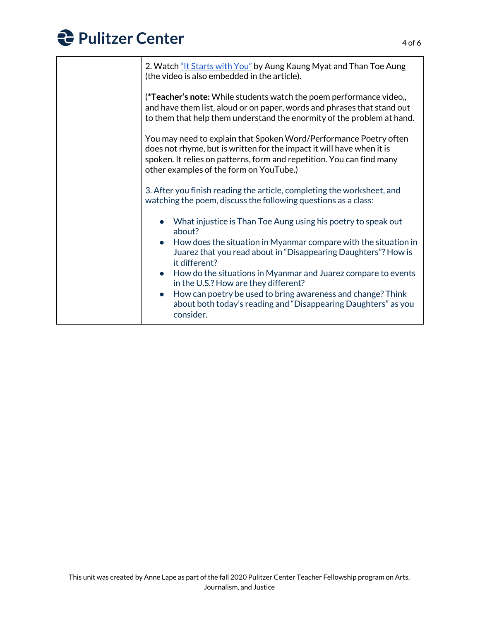## **Pulitzer Center**

| 2. Watch "It Starts with You" by Aung Kaung Myat and Than Toe Aung<br>(the video is also embedded in the article).                                                                                                                                             |
|----------------------------------------------------------------------------------------------------------------------------------------------------------------------------------------------------------------------------------------------------------------|
| (*Teacher's note: While students watch the poem performance video,,<br>and have them list, aloud or on paper, words and phrases that stand out<br>to them that help them understand the enormity of the problem at hand.                                       |
| You may need to explain that Spoken Word/Performance Poetry often<br>does not rhyme, but is written for the impact it will have when it is<br>spoken. It relies on patterns, form and repetition. You can find many<br>other examples of the form on YouTube.) |
| 3. After you finish reading the article, completing the worksheet, and<br>watching the poem, discuss the following questions as a class:                                                                                                                       |
| • What injustice is Than Toe Aung using his poetry to speak out<br>about?                                                                                                                                                                                      |
| How does the situation in Myanmar compare with the situation in<br>$\bullet$<br>Juarez that you read about in "Disappearing Daughters"? How is<br>it different?                                                                                                |
| How do the situations in Myanmar and Juarez compare to events<br>$\bullet$<br>in the U.S.? How are they different?                                                                                                                                             |
| How can poetry be used to bring awareness and change? Think<br>$\bullet$<br>about both today's reading and "Disappearing Daughters" as you<br>consider.                                                                                                        |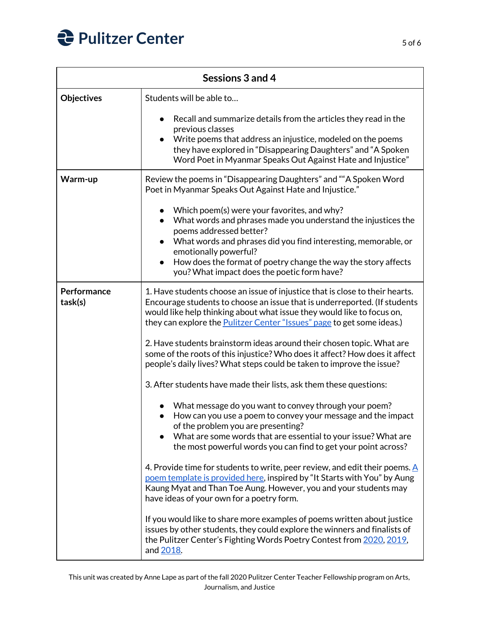

| Sessions 3 and 4       |                                                                                                                                                                                                                                                                                                                                                     |
|------------------------|-----------------------------------------------------------------------------------------------------------------------------------------------------------------------------------------------------------------------------------------------------------------------------------------------------------------------------------------------------|
| <b>Objectives</b>      | Students will be able to                                                                                                                                                                                                                                                                                                                            |
|                        | Recall and summarize details from the articles they read in the<br>previous classes<br>Write poems that address an injustice, modeled on the poems<br>they have explored in "Disappearing Daughters" and "A Spoken<br>Word Poet in Myanmar Speaks Out Against Hate and Injustice"                                                                   |
| Warm-up                | Review the poems in "Disappearing Daughters" and ""A Spoken Word<br>Poet in Myanmar Speaks Out Against Hate and Injustice."                                                                                                                                                                                                                         |
|                        | Which poem(s) were your favorites, and why?<br>What words and phrases made you understand the injustices the<br>poems addressed better?<br>What words and phrases did you find interesting, memorable, or<br>emotionally powerful?<br>How does the format of poetry change the way the story affects<br>you? What impact does the poetic form have? |
| Performance<br>task(s) | 1. Have students choose an issue of injustice that is close to their hearts.<br>Encourage students to choose an issue that is underreported. (If students<br>would like help thinking about what issue they would like to focus on,<br>they can explore the <b>Pulitzer Center</b> "Issues" page to get some ideas.)                                |
|                        | 2. Have students brainstorm ideas around their chosen topic. What are<br>some of the roots of this injustice? Who does it affect? How does it affect<br>people's daily lives? What steps could be taken to improve the issue?                                                                                                                       |
|                        | 3. After students have made their lists, ask them these questions:                                                                                                                                                                                                                                                                                  |
|                        | What message do you want to convey through your poem?<br>How can you use a poem to convey your message and the impact<br>of the problem you are presenting?<br>What are some words that are essential to your issue? What are<br>the most powerful words you can find to get your point across?                                                     |
|                        | 4. Provide time for students to write, peer review, and edit their poems. $\underline{A}$<br>poem template is provided here, inspired by "It Starts with You" by Aung<br>Kaung Myat and Than Toe Aung. However, you and your students may<br>have ideas of your own for a poetry form.                                                              |
|                        | If you would like to share more examples of poems written about justice<br>issues by other students, they could explore the winners and finalists of<br>the Pulitzer Center's Fighting Words Poetry Contest from 2020, 2019,<br>and 2018.                                                                                                           |